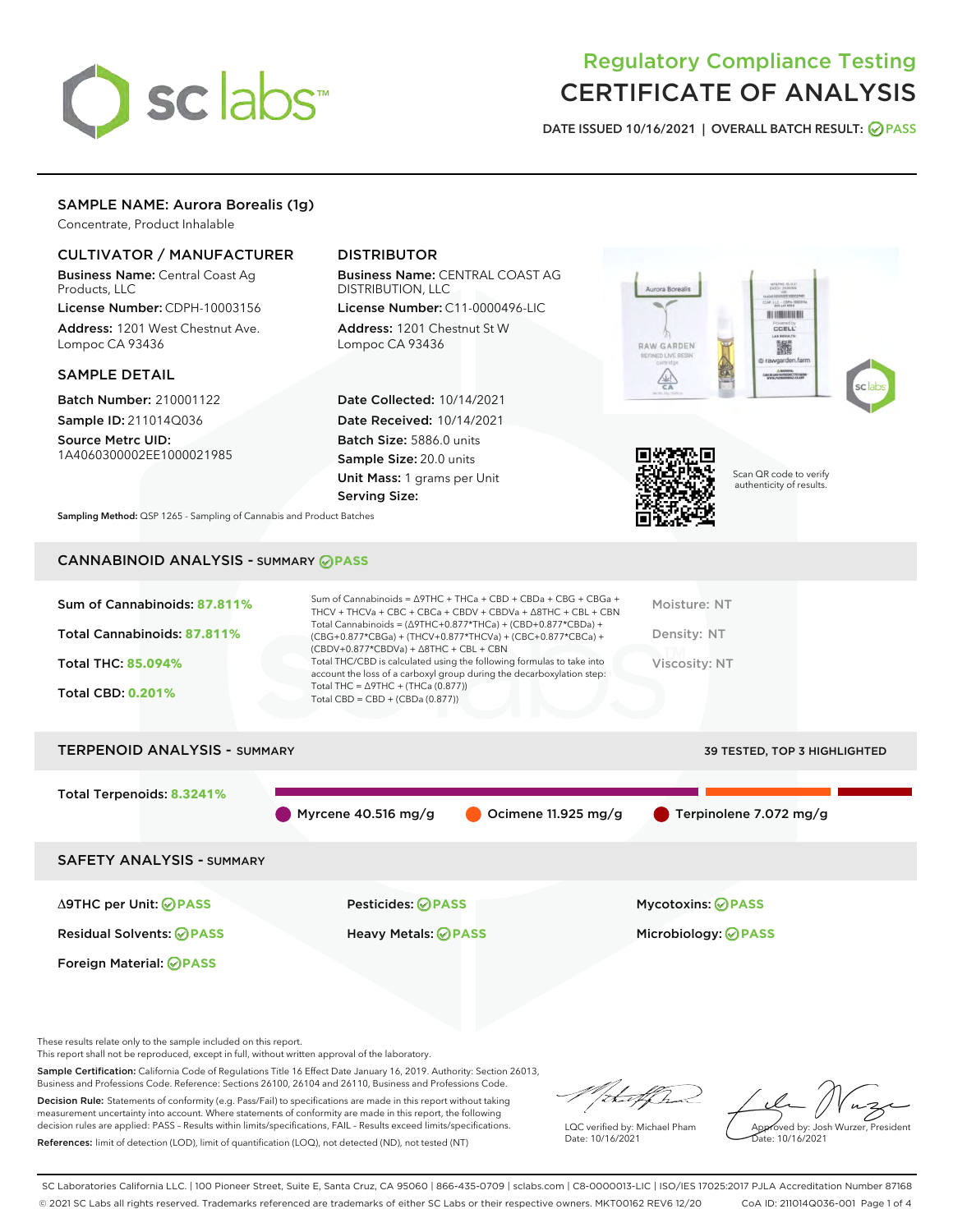

# Regulatory Compliance Testing CERTIFICATE OF ANALYSIS

DATE ISSUED 10/16/2021 | OVERALL BATCH RESULT: @ PASS

### SAMPLE NAME: Aurora Borealis (1g)

Concentrate, Product Inhalable

#### CULTIVATOR / MANUFACTURER

Business Name: Central Coast Ag Products, LLC

License Number: CDPH-10003156 Address: 1201 West Chestnut Ave. Lompoc CA 93436

#### SAMPLE DETAIL

Batch Number: 210001122 Sample ID: 211014Q036

Source Metrc UID: 1A4060300002EE1000021985

### DISTRIBUTOR

Business Name: CENTRAL COAST AG DISTRIBUTION, LLC

License Number: C11-0000496-LIC Address: 1201 Chestnut St W Lompoc CA 93436

Date Collected: 10/14/2021 Date Received: 10/14/2021 Batch Size: 5886.0 units Sample Size: 20.0 units Unit Mass: 1 grams per Unit Serving Size:





Scan QR code to verify authenticity of results.

Sampling Method: QSP 1265 - Sampling of Cannabis and Product Batches

## CANNABINOID ANALYSIS - SUMMARY **PASS**

| Sum of Cannabinoids: 87.811%<br>Total Cannabinoids: 87.811%<br><b>Total THC: 85.094%</b><br><b>Total CBD: 0.201%</b> | Sum of Cannabinoids = $\triangle$ 9THC + THCa + CBD + CBDa + CBG + CBGa +<br>THCV + THCVa + CBC + CBCa + CBDV + CBDVa + $\Delta$ 8THC + CBL + CBN<br>Total Cannabinoids = $(\Delta$ 9THC+0.877*THCa) + (CBD+0.877*CBDa) +<br>$(CBG+0.877*CBGa) + (THCV+0.877*THCVa) + (CBC+0.877*CBCa) +$<br>$(CBDV+0.877*CBDVa) + \Delta 8THC + CBL + CBN$<br>Total THC/CBD is calculated using the following formulas to take into<br>account the loss of a carboxyl group during the decarboxylation step:<br>Total THC = $\triangle$ 9THC + (THCa (0.877))<br>Total CBD = $CBD + (CBDa (0.877))$ | Moisture: NT<br>Density: NT<br>Viscosity: NT |
|----------------------------------------------------------------------------------------------------------------------|--------------------------------------------------------------------------------------------------------------------------------------------------------------------------------------------------------------------------------------------------------------------------------------------------------------------------------------------------------------------------------------------------------------------------------------------------------------------------------------------------------------------------------------------------------------------------------------|----------------------------------------------|
| <b>TERPENOID ANALYSIS - SUMMARY</b>                                                                                  |                                                                                                                                                                                                                                                                                                                                                                                                                                                                                                                                                                                      | 39 TESTED, TOP 3 HIGHLIGHTED                 |
| Total Terpenoids: 8.3241%                                                                                            | Ocimene 11.925 mg/g<br>Myrcene $40.516$ mg/g                                                                                                                                                                                                                                                                                                                                                                                                                                                                                                                                         | Terpinolene 7.072 mg/g                       |
| <b>SAFETY ANALYSIS - SUMMARY</b>                                                                                     |                                                                                                                                                                                                                                                                                                                                                                                                                                                                                                                                                                                      |                                              |

Δ9THC per Unit: **PASS** Pesticides: **PASS** Mycotoxins: **PASS**

Foreign Material: **PASS**

Residual Solvents: **PASS** Heavy Metals: **PASS** Microbiology: **PASS**

These results relate only to the sample included on this report.

This report shall not be reproduced, except in full, without written approval of the laboratory.

Sample Certification: California Code of Regulations Title 16 Effect Date January 16, 2019. Authority: Section 26013, Business and Professions Code. Reference: Sections 26100, 26104 and 26110, Business and Professions Code.

Decision Rule: Statements of conformity (e.g. Pass/Fail) to specifications are made in this report without taking measurement uncertainty into account. Where statements of conformity are made in this report, the following decision rules are applied: PASS – Results within limits/specifications, FAIL – Results exceed limits/specifications. References: limit of detection (LOD), limit of quantification (LOQ), not detected (ND), not tested (NT)

that f h

LQC verified by: Michael Pham Date: 10/16/2021

Approved by: Josh Wurzer, President ate: 10/16/2021

SC Laboratories California LLC. | 100 Pioneer Street, Suite E, Santa Cruz, CA 95060 | 866-435-0709 | sclabs.com | C8-0000013-LIC | ISO/IES 17025:2017 PJLA Accreditation Number 87168 © 2021 SC Labs all rights reserved. Trademarks referenced are trademarks of either SC Labs or their respective owners. MKT00162 REV6 12/20 CoA ID: 211014Q036-001 Page 1 of 4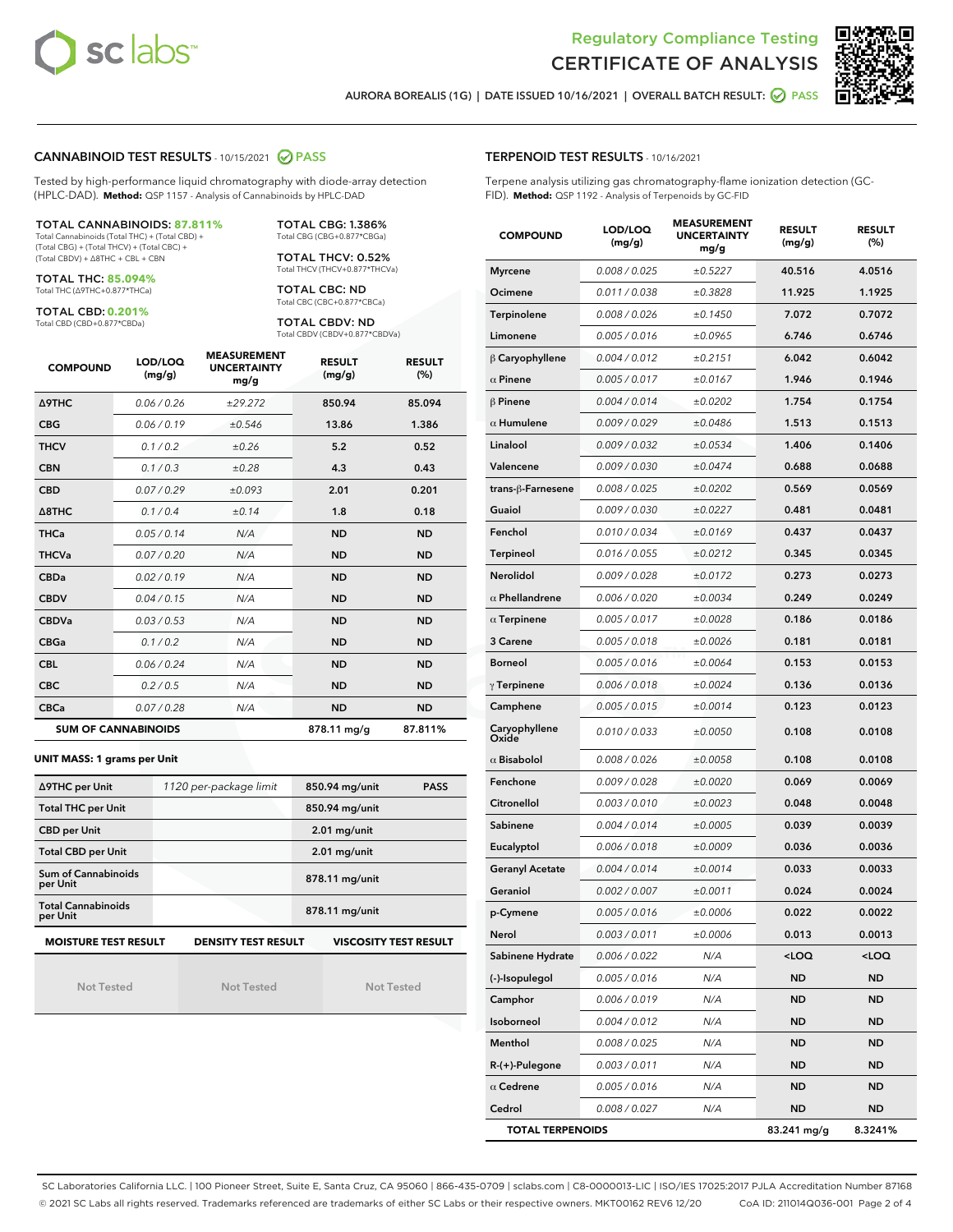



AURORA BOREALIS (1G) | DATE ISSUED 10/16/2021 | OVERALL BATCH RESULT: 2 PASS

#### CANNABINOID TEST RESULTS - 10/15/2021 2 PASS

Tested by high-performance liquid chromatography with diode-array detection (HPLC-DAD). **Method:** QSP 1157 - Analysis of Cannabinoids by HPLC-DAD

#### TOTAL CANNABINOIDS: **87.811%**

Total Cannabinoids (Total THC) + (Total CBD) + (Total CBG) + (Total THCV) + (Total CBC) + (Total CBDV) + ∆8THC + CBL + CBN

TOTAL THC: **85.094%** Total THC (∆9THC+0.877\*THCa)

TOTAL CBD: **0.201%**

Total CBD (CBD+0.877\*CBDa)

TOTAL CBG: 1.386% Total CBG (CBG+0.877\*CBGa)

TOTAL THCV: 0.52% Total THCV (THCV+0.877\*THCVa)

TOTAL CBC: ND Total CBC (CBC+0.877\*CBCa)

TOTAL CBDV: ND Total CBDV (CBDV+0.877\*CBDVa)

| <b>COMPOUND</b>            | LOD/LOQ<br>(mg/g) | <b>MEASUREMENT</b><br><b>UNCERTAINTY</b><br>mg/g | <b>RESULT</b><br>(mg/g) | <b>RESULT</b><br>(%) |
|----------------------------|-------------------|--------------------------------------------------|-------------------------|----------------------|
| Δ9THC                      | 0.06 / 0.26       | ±29.272                                          | 850.94                  | 85.094               |
| <b>CBG</b>                 | 0.06/0.19         | ±0.546                                           | 13.86                   | 1.386                |
| <b>THCV</b>                | 0.1/0.2           | ±0.26                                            | 5.2                     | 0.52                 |
| <b>CBN</b>                 | 0.1/0.3           | ±0.28                                            | 4.3                     | 0.43                 |
| <b>CBD</b>                 | 0.07/0.29         | ±0.093                                           | 2.01                    | 0.201                |
| $\triangle$ 8THC           | 0.1/0.4           | ±0.14                                            | 1.8                     | 0.18                 |
| <b>THCa</b>                | 0.05/0.14         | N/A                                              | <b>ND</b>               | <b>ND</b>            |
| <b>THCVa</b>               | 0.07 / 0.20       | N/A                                              | <b>ND</b>               | <b>ND</b>            |
| <b>CBDa</b>                | 0.02/0.19         | N/A                                              | <b>ND</b>               | <b>ND</b>            |
| <b>CBDV</b>                | 0.04 / 0.15       | N/A                                              | <b>ND</b>               | <b>ND</b>            |
| <b>CBDVa</b>               | 0.03/0.53         | N/A                                              | <b>ND</b>               | <b>ND</b>            |
| <b>CBGa</b>                | 0.1/0.2           | N/A                                              | <b>ND</b>               | <b>ND</b>            |
| <b>CBL</b>                 | 0.06 / 0.24       | N/A                                              | <b>ND</b>               | <b>ND</b>            |
| <b>CBC</b>                 | 0.2 / 0.5         | N/A                                              | <b>ND</b>               | <b>ND</b>            |
| <b>CBCa</b>                | 0.07 / 0.28       | N/A                                              | <b>ND</b>               | <b>ND</b>            |
| <b>SUM OF CANNABINOIDS</b> |                   |                                                  | 878.11 mg/g             | 87.811%              |

**UNIT MASS: 1 grams per Unit**

| ∆9THC per Unit                        | 1120 per-package limit     | 850.94 mg/unit<br><b>PASS</b> |
|---------------------------------------|----------------------------|-------------------------------|
| <b>Total THC per Unit</b>             |                            | 850.94 mg/unit                |
| <b>CBD per Unit</b>                   |                            | $2.01$ mg/unit                |
| <b>Total CBD per Unit</b>             |                            | $2.01$ mg/unit                |
| Sum of Cannabinoids<br>per Unit       |                            | 878.11 mg/unit                |
| <b>Total Cannabinoids</b><br>per Unit |                            | 878.11 mg/unit                |
| <b>MOISTURE TEST RESULT</b>           | <b>DENSITY TEST RESULT</b> | <b>VISCOSITY TEST RESULT</b>  |

Not Tested

|  | <b>Not Tested</b> |  |
|--|-------------------|--|

Not Tested

#### TERPENOID TEST RESULTS - 10/16/2021

Terpene analysis utilizing gas chromatography-flame ionization detection (GC-FID). **Method:** QSP 1192 - Analysis of Terpenoids by GC-FID

| <b>COMPOUND</b>         | LOD/LOQ<br>(mg/g) | <b>MEASUREMENT</b><br><b>UNCERTAINTY</b><br>mg/g | <b>RESULT</b><br>(mg/g)                         | <b>RESULT</b><br>(%) |
|-------------------------|-------------------|--------------------------------------------------|-------------------------------------------------|----------------------|
| <b>Myrcene</b>          | 0.008 / 0.025     | ±0.5227                                          | 40.516                                          | 4.0516               |
| Ocimene                 | 0.011 / 0.038     | ±0.3828                                          | 11.925                                          | 1.1925               |
| Terpinolene             | 0.008 / 0.026     | ±0.1450                                          | 7.072                                           | 0.7072               |
| Limonene                | 0.005 / 0.016     | ±0.0965                                          | 6.746                                           | 0.6746               |
| $\beta$ Caryophyllene   | 0.004 / 0.012     | ±0.2151                                          | 6.042                                           | 0.6042               |
| $\alpha$ Pinene         | 0.005 / 0.017     | ±0.0167                                          | 1.946                                           | 0.1946               |
| $\beta$ Pinene          | 0.004 / 0.014     | ±0.0202                                          | 1.754                                           | 0.1754               |
| $\alpha$ Humulene       | 0.009/0.029       | ±0.0486                                          | 1.513                                           | 0.1513               |
| Linalool                | 0.009 / 0.032     | ±0.0534                                          | 1.406                                           | 0.1406               |
| Valencene               | 0.009 / 0.030     | ±0.0474                                          | 0.688                                           | 0.0688               |
| trans-ß-Farnesene       | 0.008 / 0.025     | ±0.0202                                          | 0.569                                           | 0.0569               |
| Guaiol                  | 0.009 / 0.030     | ±0.0227                                          | 0.481                                           | 0.0481               |
| Fenchol                 | 0.010 / 0.034     | ±0.0169                                          | 0.437                                           | 0.0437               |
| <b>Terpineol</b>        | 0.016 / 0.055     | ±0.0212                                          | 0.345                                           | 0.0345               |
| Nerolidol               | 0.009 / 0.028     | ±0.0172                                          | 0.273                                           | 0.0273               |
| $\alpha$ Phellandrene   | 0.006 / 0.020     | ±0.0034                                          | 0.249                                           | 0.0249               |
| $\alpha$ Terpinene      | 0.005 / 0.017     | ±0.0028                                          | 0.186                                           | 0.0186               |
| 3 Carene                | 0.005 / 0.018     | ±0.0026                                          | 0.181                                           | 0.0181               |
| <b>Borneol</b>          | 0.005 / 0.016     | ±0.0064                                          | 0.153                                           | 0.0153               |
| $\gamma$ Terpinene      | 0.006 / 0.018     | ±0.0024                                          | 0.136                                           | 0.0136               |
| Camphene                | 0.005 / 0.015     | ±0.0014                                          | 0.123                                           | 0.0123               |
| Caryophyllene<br>Oxide  | 0.010 / 0.033     | ±0.0050                                          | 0.108                                           | 0.0108               |
| $\alpha$ Bisabolol      | 0.008 / 0.026     | ±0.0058                                          | 0.108                                           | 0.0108               |
| Fenchone                | 0.009 / 0.028     | ±0.0020                                          | 0.069                                           | 0.0069               |
| Citronellol             | 0.003 / 0.010     | ±0.0023                                          | 0.048                                           | 0.0048               |
| Sabinene                | 0.004 / 0.014     | ±0.0005                                          | 0.039                                           | 0.0039               |
| Eucalyptol              | 0.006 / 0.018     | ±0.0009                                          | 0.036                                           | 0.0036               |
| <b>Geranyl Acetate</b>  | 0.004 / 0.014     | ±0.0014                                          | 0.033                                           | 0.0033               |
| Geraniol                | 0.002 / 0.007     | ±0.0011                                          | 0.024                                           | 0.0024               |
| p-Cymene                | 0.005 / 0.016     | ±0.0006                                          | 0.022                                           | 0.0022               |
| Nerol                   | 0.003 / 0.011     | ±0.0006                                          | 0.013                                           | 0.0013               |
| Sabinene Hydrate        | 0.006 / 0.022     | N/A                                              | <loq< th=""><th><loq< th=""></loq<></th></loq<> | <loq< th=""></loq<>  |
| (-)-Isopulegol          | 0.005 / 0.016     | N/A                                              | ND                                              | <b>ND</b>            |
| Camphor                 | 0.006 / 0.019     | N/A                                              | <b>ND</b>                                       | <b>ND</b>            |
| Isoborneol              | 0.004 / 0.012     | N/A                                              | <b>ND</b>                                       | <b>ND</b>            |
| Menthol                 | 0.008 / 0.025     | N/A                                              | ND                                              | <b>ND</b>            |
| $R-(+)$ -Pulegone       | 0.003 / 0.011     | N/A                                              | ND                                              | <b>ND</b>            |
| $\alpha$ Cedrene        | 0.005 / 0.016     | N/A                                              | <b>ND</b>                                       | ND                   |
| Cedrol                  | 0.008 / 0.027     | N/A                                              | ND                                              | <b>ND</b>            |
| <b>TOTAL TERPENOIDS</b> |                   |                                                  | 83.241 mg/g                                     | 8.3241%              |

SC Laboratories California LLC. | 100 Pioneer Street, Suite E, Santa Cruz, CA 95060 | 866-435-0709 | sclabs.com | C8-0000013-LIC | ISO/IES 17025:2017 PJLA Accreditation Number 87168 © 2021 SC Labs all rights reserved. Trademarks referenced are trademarks of either SC Labs or their respective owners. MKT00162 REV6 12/20 CoA ID: 211014Q036-001 Page 2 of 4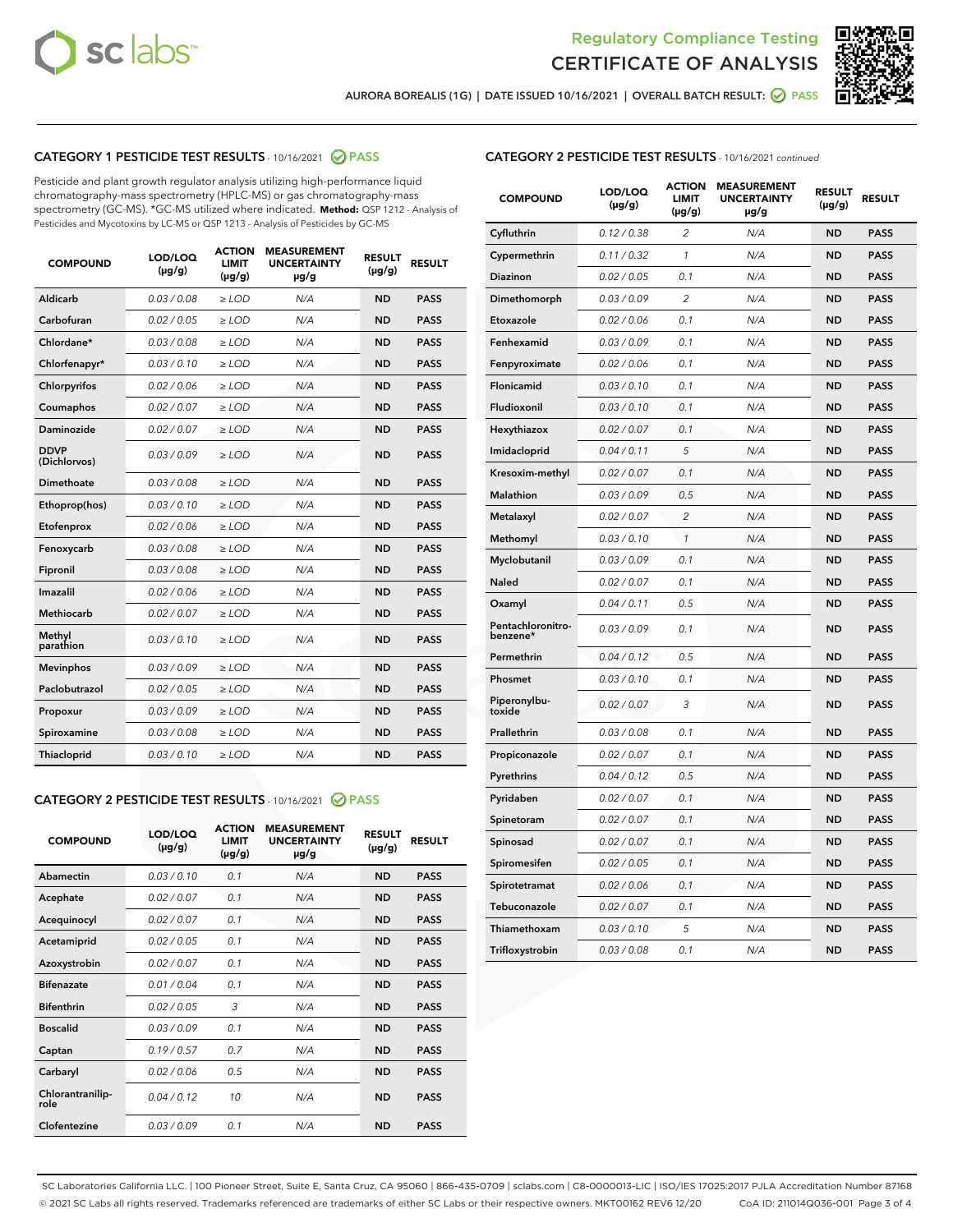



AURORA BOREALIS (1G) | DATE ISSUED 10/16/2021 | OVERALL BATCH RESULT: @ PASS

#### CATEGORY 1 PESTICIDE TEST RESULTS - 10/16/2021 @ PASS

Pesticide and plant growth regulator analysis utilizing high-performance liquid chromatography-mass spectrometry (HPLC-MS) or gas chromatography-mass spectrometry (GC-MS). \*GC-MS utilized where indicated. **Method:** QSP 1212 - Analysis of Pesticides and Mycotoxins by LC-MS or QSP 1213 - Analysis of Pesticides by GC-MS

| <b>COMPOUND</b>             | LOD/LOQ<br>$(\mu g/g)$ | <b>ACTION</b><br><b>LIMIT</b><br>$(\mu q/q)$ | <b>MEASUREMENT</b><br><b>UNCERTAINTY</b><br>$\mu$ g/g | <b>RESULT</b><br>$(\mu g/g)$ | <b>RESULT</b> |
|-----------------------------|------------------------|----------------------------------------------|-------------------------------------------------------|------------------------------|---------------|
| Aldicarb                    | 0.03 / 0.08            | $\ge$ LOD                                    | N/A                                                   | <b>ND</b>                    | <b>PASS</b>   |
| Carbofuran                  | 0.02 / 0.05            | $\ge$ LOD                                    | N/A                                                   | <b>ND</b>                    | <b>PASS</b>   |
| Chlordane*                  | 0.03 / 0.08            | $\ge$ LOD                                    | N/A                                                   | <b>ND</b>                    | <b>PASS</b>   |
| Chlorfenapyr*               | 0.03/0.10              | $\ge$ LOD                                    | N/A                                                   | <b>ND</b>                    | <b>PASS</b>   |
| Chlorpyrifos                | 0.02 / 0.06            | $\ge$ LOD                                    | N/A                                                   | <b>ND</b>                    | <b>PASS</b>   |
| Coumaphos                   | 0.02 / 0.07            | $\ge$ LOD                                    | N/A                                                   | <b>ND</b>                    | <b>PASS</b>   |
| Daminozide                  | 0.02 / 0.07            | $\ge$ LOD                                    | N/A                                                   | <b>ND</b>                    | <b>PASS</b>   |
| <b>DDVP</b><br>(Dichlorvos) | 0.03/0.09              | $>$ LOD                                      | N/A                                                   | <b>ND</b>                    | <b>PASS</b>   |
| Dimethoate                  | 0.03 / 0.08            | $\ge$ LOD                                    | N/A                                                   | <b>ND</b>                    | <b>PASS</b>   |
| Ethoprop(hos)               | 0.03/0.10              | $\ge$ LOD                                    | N/A                                                   | <b>ND</b>                    | <b>PASS</b>   |
| Etofenprox                  | 0.02/0.06              | $>$ LOD                                      | N/A                                                   | <b>ND</b>                    | <b>PASS</b>   |
| Fenoxycarb                  | 0.03 / 0.08            | $\ge$ LOD                                    | N/A                                                   | <b>ND</b>                    | <b>PASS</b>   |
| Fipronil                    | 0.03/0.08              | $>$ LOD                                      | N/A                                                   | <b>ND</b>                    | <b>PASS</b>   |
| Imazalil                    | 0.02 / 0.06            | $\ge$ LOD                                    | N/A                                                   | <b>ND</b>                    | <b>PASS</b>   |
| Methiocarb                  | 0.02 / 0.07            | $\ge$ LOD                                    | N/A                                                   | <b>ND</b>                    | <b>PASS</b>   |
| Methyl<br>parathion         | 0.03/0.10              | $>$ LOD                                      | N/A                                                   | <b>ND</b>                    | <b>PASS</b>   |
| <b>Mevinphos</b>            | 0.03/0.09              | $>$ LOD                                      | N/A                                                   | <b>ND</b>                    | <b>PASS</b>   |
| Paclobutrazol               | 0.02 / 0.05            | $\ge$ LOD                                    | N/A                                                   | <b>ND</b>                    | <b>PASS</b>   |
| Propoxur                    | 0.03 / 0.09            | $\ge$ LOD                                    | N/A                                                   | <b>ND</b>                    | <b>PASS</b>   |
| Spiroxamine                 | 0.03 / 0.08            | $\ge$ LOD                                    | N/A                                                   | <b>ND</b>                    | <b>PASS</b>   |
| Thiacloprid                 | 0.03/0.10              | $\ge$ LOD                                    | N/A                                                   | <b>ND</b>                    | <b>PASS</b>   |
|                             |                        |                                              |                                                       |                              |               |

#### CATEGORY 2 PESTICIDE TEST RESULTS - 10/16/2021 @ PASS

| <b>COMPOUND</b>          | LOD/LOQ<br>$(\mu g/g)$ | <b>ACTION</b><br><b>LIMIT</b><br>$(\mu g/g)$ | <b>MEASUREMENT</b><br><b>UNCERTAINTY</b><br>$\mu$ g/g | <b>RESULT</b><br>$(\mu g/g)$ | <b>RESULT</b> |
|--------------------------|------------------------|----------------------------------------------|-------------------------------------------------------|------------------------------|---------------|
| Abamectin                | 0.03/0.10              | 0.1                                          | N/A                                                   | <b>ND</b>                    | <b>PASS</b>   |
| Acephate                 | 0.02/0.07              | 0.1                                          | N/A                                                   | <b>ND</b>                    | <b>PASS</b>   |
| Acequinocyl              | 0.02/0.07              | 0.1                                          | N/A                                                   | <b>ND</b>                    | <b>PASS</b>   |
| Acetamiprid              | 0.02/0.05              | 0.1                                          | N/A                                                   | <b>ND</b>                    | <b>PASS</b>   |
| Azoxystrobin             | 0.02/0.07              | 0.1                                          | N/A                                                   | <b>ND</b>                    | <b>PASS</b>   |
| <b>Bifenazate</b>        | 0.01/0.04              | 0.1                                          | N/A                                                   | <b>ND</b>                    | <b>PASS</b>   |
| <b>Bifenthrin</b>        | 0.02 / 0.05            | 3                                            | N/A                                                   | <b>ND</b>                    | <b>PASS</b>   |
| <b>Boscalid</b>          | 0.03/0.09              | 0.1                                          | N/A                                                   | <b>ND</b>                    | <b>PASS</b>   |
| Captan                   | 0.19/0.57              | 0.7                                          | N/A                                                   | <b>ND</b>                    | <b>PASS</b>   |
| Carbaryl                 | 0.02/0.06              | 0.5                                          | N/A                                                   | <b>ND</b>                    | <b>PASS</b>   |
| Chlorantranilip-<br>role | 0.04/0.12              | 10                                           | N/A                                                   | <b>ND</b>                    | <b>PASS</b>   |
| Clofentezine             | 0.03/0.09              | 0.1                                          | N/A                                                   | <b>ND</b>                    | <b>PASS</b>   |

#### CATEGORY 2 PESTICIDE TEST RESULTS - 10/16/2021 continued

| <b>COMPOUND</b>               | LOD/LOQ<br>(µg/g) | <b>ACTION</b><br><b>LIMIT</b><br>(µg/g) | <b>MEASUREMENT</b><br><b>UNCERTAINTY</b><br>µg/g | <b>RESULT</b><br>(µg/g) | <b>RESULT</b> |
|-------------------------------|-------------------|-----------------------------------------|--------------------------------------------------|-------------------------|---------------|
| Cyfluthrin                    | 0.12 / 0.38       | $\overline{c}$                          | N/A                                              | <b>ND</b>               | <b>PASS</b>   |
| Cypermethrin                  | 0.11 / 0.32       | 1                                       | N/A                                              | <b>ND</b>               | <b>PASS</b>   |
| Diazinon                      | 0.02 / 0.05       | 0.1                                     | N/A                                              | <b>ND</b>               | <b>PASS</b>   |
| Dimethomorph                  | 0.03 / 0.09       | 2                                       | N/A                                              | ND                      | <b>PASS</b>   |
| Etoxazole                     | 0.02 / 0.06       | 0.1                                     | N/A                                              | <b>ND</b>               | <b>PASS</b>   |
| Fenhexamid                    | 0.03 / 0.09       | 0.1                                     | N/A                                              | ND                      | <b>PASS</b>   |
| Fenpyroximate                 | 0.02 / 0.06       | 0.1                                     | N/A                                              | <b>ND</b>               | <b>PASS</b>   |
| Flonicamid                    | 0.03 / 0.10       | 0.1                                     | N/A                                              | ND                      | <b>PASS</b>   |
| Fludioxonil                   | 0.03 / 0.10       | 0.1                                     | N/A                                              | <b>ND</b>               | <b>PASS</b>   |
| Hexythiazox                   | 0.02 / 0.07       | 0.1                                     | N/A                                              | ND                      | <b>PASS</b>   |
| Imidacloprid                  | 0.04 / 0.11       | 5                                       | N/A                                              | ND                      | <b>PASS</b>   |
| Kresoxim-methyl               | 0.02 / 0.07       | 0.1                                     | N/A                                              | <b>ND</b>               | <b>PASS</b>   |
| <b>Malathion</b>              | 0.03 / 0.09       | 0.5                                     | N/A                                              | ND                      | <b>PASS</b>   |
| Metalaxyl                     | 0.02 / 0.07       | $\overline{c}$                          | N/A                                              | ND                      | <b>PASS</b>   |
| Methomyl                      | 0.03 / 0.10       | 1                                       | N/A                                              | <b>ND</b>               | <b>PASS</b>   |
| Myclobutanil                  | 0.03 / 0.09       | 0.1                                     | N/A                                              | ND                      | <b>PASS</b>   |
| Naled                         | 0.02 / 0.07       | 0.1                                     | N/A                                              | ND                      | <b>PASS</b>   |
| Oxamyl                        | 0.04 / 0.11       | 0.5                                     | N/A                                              | ND                      | <b>PASS</b>   |
| Pentachloronitro-<br>benzene* | 0.03 / 0.09       | 0.1                                     | N/A                                              | ND                      | <b>PASS</b>   |
| Permethrin                    | 0.04 / 0.12       | 0.5                                     | N/A                                              | <b>ND</b>               | <b>PASS</b>   |
| Phosmet                       | 0.03/0.10         | 0.1                                     | N/A                                              | ND                      | <b>PASS</b>   |
| Piperonylbu-<br>toxide        | 0.02 / 0.07       | 3                                       | N/A                                              | ND                      | <b>PASS</b>   |
| Prallethrin                   | 0.03 / 0.08       | 0.1                                     | N/A                                              | <b>ND</b>               | <b>PASS</b>   |
| Propiconazole                 | 0.02 / 0.07       | 0.1                                     | N/A                                              | ND                      | <b>PASS</b>   |
| Pyrethrins                    | 0.04 / 0.12       | 0.5                                     | N/A                                              | ND                      | <b>PASS</b>   |
| Pyridaben                     | 0.02 / 0.07       | 0.1                                     | N/A                                              | ND                      | <b>PASS</b>   |
| Spinetoram                    | 0.02 / 0.07       | 0.1                                     | N/A                                              | ND                      | <b>PASS</b>   |
| Spinosad                      | 0.02 / 0.07       | 0.1                                     | N/A                                              | ND                      | <b>PASS</b>   |
| Spiromesifen                  | 0.02 / 0.05       | 0.1                                     | N/A                                              | ND                      | <b>PASS</b>   |
| Spirotetramat                 | 0.02 / 0.06       | 0.1                                     | N/A                                              | ND                      | <b>PASS</b>   |
| Tebuconazole                  | 0.02 / 0.07       | 0.1                                     | N/A                                              | ND                      | <b>PASS</b>   |
| Thiamethoxam                  | 0.03 / 0.10       | 5                                       | N/A                                              | ND                      | <b>PASS</b>   |
| Trifloxystrobin               | 0.03 / 0.08       | 0.1                                     | N/A                                              | <b>ND</b>               | <b>PASS</b>   |

SC Laboratories California LLC. | 100 Pioneer Street, Suite E, Santa Cruz, CA 95060 | 866-435-0709 | sclabs.com | C8-0000013-LIC | ISO/IES 17025:2017 PJLA Accreditation Number 87168 © 2021 SC Labs all rights reserved. Trademarks referenced are trademarks of either SC Labs or their respective owners. MKT00162 REV6 12/20 CoA ID: 211014Q036-001 Page 3 of 4